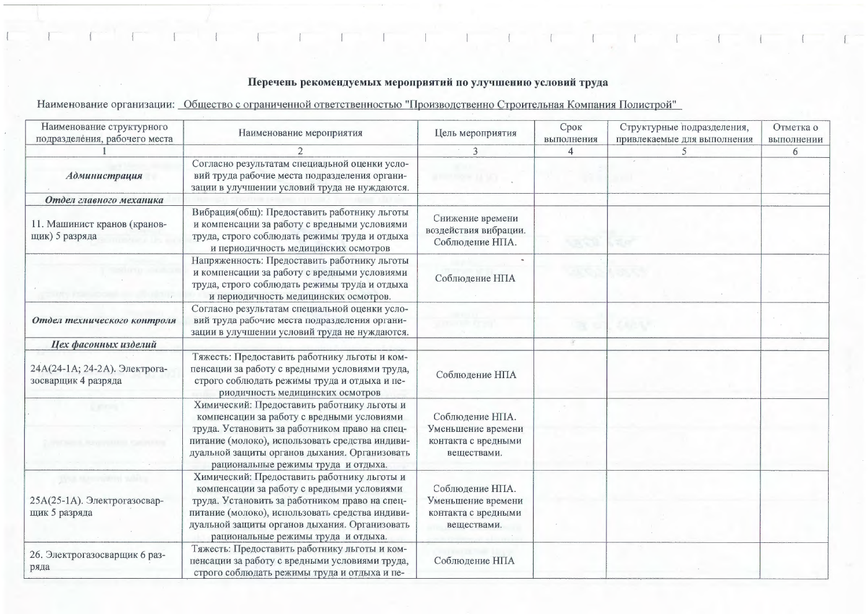## Перечень рекомендуемых мероприятий по улучшению условий труда

Наименование организации: Общество с ограниченной ответственностью "Производственно Строительная Компания Полистрой"

| Наименование структурного<br>подразделения, рабочего места            | Наименование мероприятия                                                                                                                                                                                                                                                               | Цель мероприятия                                                            | Срок<br>выполнения | Структурные подразделения,<br>привлекаемые для выполнения | Отметка о<br>выполнении |
|-----------------------------------------------------------------------|----------------------------------------------------------------------------------------------------------------------------------------------------------------------------------------------------------------------------------------------------------------------------------------|-----------------------------------------------------------------------------|--------------------|-----------------------------------------------------------|-------------------------|
|                                                                       | $\mathcal{D}$                                                                                                                                                                                                                                                                          | 3                                                                           | 4                  |                                                           | 6                       |
| Администрация                                                         | Согласно результатам специальной оценки усло-<br>вий труда рабочие места подразделения органи-<br>зации в улучшении условий труда не нуждаются.                                                                                                                                        | <b>Choose 14 Waller</b>                                                     |                    |                                                           |                         |
| Отдел главного механика                                               |                                                                                                                                                                                                                                                                                        |                                                                             |                    |                                                           |                         |
| 11. Машинист кранов (кранов-<br>щик) 5 разряда                        | Вибрация(общ): Предоставить работнику льготы<br>и компенсации за работу с вредными условиями<br>труда, строго соблюдать режимы труда и отдыха<br>и периодичность медицинских осмотров                                                                                                  | Снижение времени<br>воздействия вибрации.<br>Соблюдение НПА.                |                    |                                                           |                         |
|                                                                       | Напряженность: Предоставить работнику льготы<br>и компенсации за работу с вредными условиями<br>труда, строго соблюдать режимы труда и отдыха<br>и периодичность медицинских осмотров.                                                                                                 | Соблюдение НПА                                                              |                    |                                                           |                         |
| Отдел технического контроля                                           | Согласно результатам специальной оценки усло-<br>вий труда рабочие места подразделения органи-<br>зации в улучшении условий труда не нуждаются.                                                                                                                                        |                                                                             |                    | エルさん                                                      |                         |
| Цех фасонных изделий                                                  |                                                                                                                                                                                                                                                                                        |                                                                             |                    |                                                           |                         |
| 24А(24-1А; 24-2А). Электрога-<br>зосварщик 4 разряда                  | Тяжесть: Предоставить работнику льготы и ком-<br>пенсации за работу с вредными условиями труда,<br>строго соблюдать режимы труда и отдыха и пе-<br>риодичность медицинских осмотров                                                                                                    | Соблюдение НПА                                                              |                    |                                                           |                         |
|                                                                       | Химический: Предоставить работнику льготы и<br>компенсации за работу с вредными условиями<br>труда. Установить за работником право на спец-<br>питание (молоко), использовать средства индиви-<br>дуальной защиты органов дыхания. Организовать<br>рациональные режимы труда и отдыха. | Соблюдение НПА.<br>Уменьшение времени<br>контакта с вредными<br>веществами. |                    |                                                           |                         |
| Deal Homework subley<br>25A(25-1A). Электрогазосвар-<br>щик 5 разряда | Химический: Предоставить работнику льготы и<br>компенсации за работу с вредными условиями<br>труда. Установить за работником право на спец-<br>питание (молоко), использовать средства индиви-<br>дуальной защиты органов дыхания. Организовать<br>рациональные режимы труда и отдыха. | Соблюдение НПА.<br>Уменьшение времени<br>контакта с вредными<br>веществами. |                    |                                                           |                         |
| 26. Электрогазосварщик 6 раз-<br>ряда                                 | Тяжесть: Предоставить работнику льготы и ком-<br>пенсации за работу с вредными условиями труда,<br>строго соблюдать режимы труда и отдыха и пе-                                                                                                                                        | Соблюдение НПА                                                              |                    |                                                           |                         |